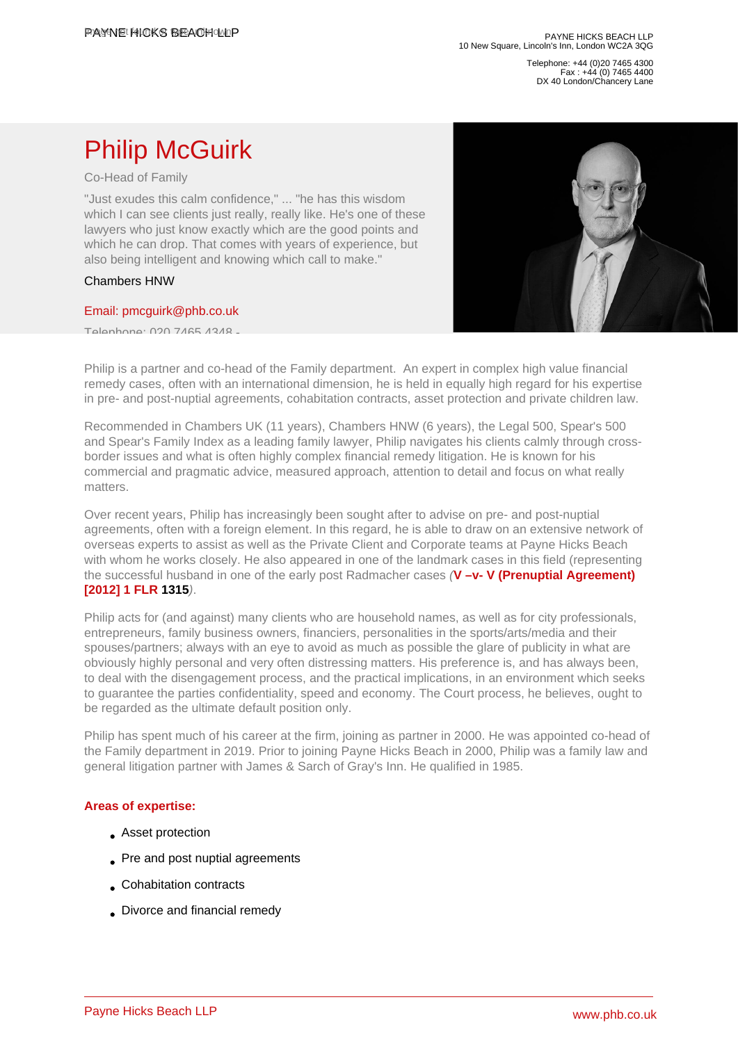Telephone: +44 (0)20 7465 4300 Fax : +44 (0) 7465 4400 DX 40 London/Chancery Lane

# Philip McGuirk

Co-Head of Family

"Just exudes this calm confidence," ... "he has this wisdom which I can see clients just really, really like. He's one of these lawyers who just know exactly which are the good points and which he can drop. That comes with years of experience, but also being intelligent and knowing which call to make."

#### Chambers HNW

#### [Email: pmcguirk@phb.co.uk](�� m a i l t o : p m c g u i r k @ p h b . c o . u k)

Telephone: 020 7465 4348 -

Philip is a partner and co-head of the Family department. An expert in complex high value financial remedy cases, often with an international dimension, he is held in equally high regard for his expertise in pre- and post-nuptial agreements, cohabitation contracts, asset protection and private children law.

Recommended in Chambers UK (11 years), Chambers HNW (6 years), the Legal 500, Spear's 500 and Spear's Family Index as a leading family lawyer, Philip navigates his clients calmly through crossborder issues and what is often highly complex financial remedy litigation. He is known for his commercial and pragmatic advice, measured approach, attention to detail and focus on what really matters.

Over recent years, Philip has increasingly been sought after to advise on pre- and post-nuptial agreements, often with a foreign element. In this regard, he is able to draw on an extensive network of overseas experts to assist as well as the Private Client and Corporate teams at Payne Hicks Beach with whom he works closely. He also appeared in one of the landmark cases in this field (representing the successful husband in one of the early post Radmacher cases (V-v- V (Prenuptial Agreement) [2012] 1 FLR 1315).

Philip acts for (and against) many clients who are household names, as well as for city professionals, entrepreneurs, family business owners, financiers, personalities in the sports/arts/media and their spouses/partners; always with an eye to avoid as much as possible the glare of publicity in what are obviously highly personal and very often distressing matters. His preference is, and has always been, to deal with the disengagement process, and the practical implications, in an environment which seeks to guarantee the parties confidentiality, speed and economy. The Court process, he believes, ought to be regarded as the ultimate default position only.

Philip has spent much of his career at the firm, joining as partner in 2000. He was appointed co-head of the Family department in 2019. Prior to joining Payne Hicks Beach in 2000, Philip was a family law and general litigation partner with James & Sarch of Gray's Inn. He qualified in 1985.

## Areas of expertise:

- Asset protection
- Pre and post nuptial agreements
- Cohabitation contracts
- Divorce and financial remedy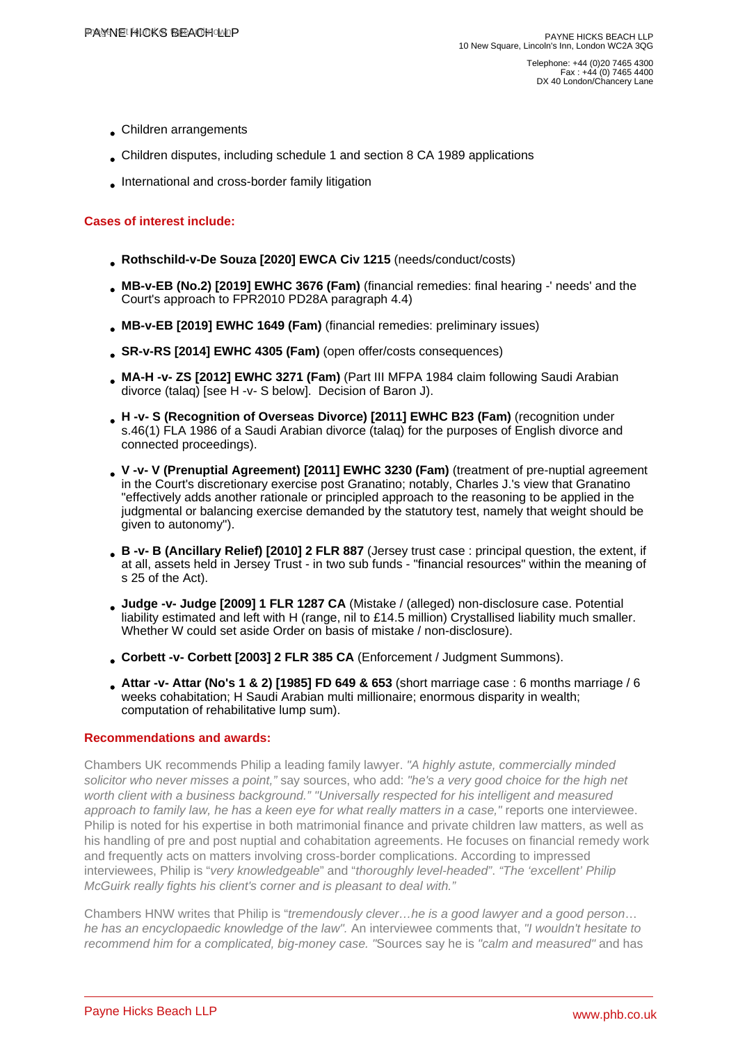- Children arrangements
- Children disputes, including schedule 1 and section 8 CA 1989 applications
- International and cross-border family litigation

## Cases of interest include:

- Rothschild-v-De Souza [2020] EWCA Civ 1215 (needs/conduct/costs)
- MB-v-EB (No.2) [2019] EWHC 3676 (Fam) (financial remedies: final hearing -' needs' and the Court's approach to FPR2010 PD28A paragraph 4.4)
- MB-v-EB [2019] EWHC 1649 (Fam) (financial remedies: preliminary issues)
- SR-v-RS [2014] EWHC 4305 (Fam) (open offer/costs consequences)
- MA-H -v- ZS [2012] EWHC 3271 (Fam) (Part III MFPA 1984 claim following Saudi Arabian divorce (talaq) [see H -v- S below]. Decision of Baron J).
- H -v- S (Recognition of Overseas Divorce) [2011] EWHC B23 (Fam) (recognition under s.46(1) FLA 1986 of a Saudi Arabian divorce (talaq) for the purposes of English divorce and connected proceedings).
- V -v- V (Prenuptial Agreement) [2011] EWHC 3230 (Fam) (treatment of pre-nuptial agreement in the Court's discretionary exercise post Granatino; notably, Charles J.'s view that Granatino "effectively adds another rationale or principled approach to the reasoning to be applied in the judgmental or balancing exercise demanded by the statutory test, namely that weight should be given to autonomy").
- B -v- B (Ancillary Relief) [2010] 2 FLR 887 (Jersey trust case : principal question, the extent, if at all, assets held in Jersey Trust - in two sub funds - "financial resources" within the meaning of s 25 of the Act).
- Judge -v- Judge [2009] 1 FLR 1287 CA (Mistake / (alleged) non-disclosure case. Potential liability estimated and left with H (range, nil to £14.5 million) Crystallised liability much smaller. Whether W could set aside Order on basis of mistake / non-disclosure).
- Corbett -v- Corbett [2003] 2 FLR 385 CA (Enforcement / Judgment Summons).
- Attar -v- Attar (No's 1 & 2) [1985] FD 649 & 653 (short marriage case: 6 months marriage / 6 weeks cohabitation; H Saudi Arabian multi millionaire; enormous disparity in wealth; computation of rehabilitative lump sum).

## Recommendations and awards:

Chambers UK recommends Philip a leading family lawyer. "A highly astute, commercially minded solicitor who never misses a point," say sources, who add: "he's a very good choice for the high net worth client with a business background." "Universally respected for his intelligent and measured approach to family law, he has a keen eye for what really matters in a case," reports one interviewee. Philip is noted for his expertise in both matrimonial finance and private children law matters, as well as his handling of pre and post nuptial and cohabitation agreements. He focuses on financial remedy work and frequently acts on matters involving cross-border complications. According to impressed interviewees, Philip is "very knowledgeable" and "thoroughly level-headed". "The 'excellent' Philip McGuirk really fights his client's corner and is pleasant to deal with."

Chambers HNW writes that Philip is "tremendously clever…he is a good lawyer and a good person… he has an encyclopaedic knowledge of the law". An interviewee comments that, "I wouldn't hesitate to recommend him for a complicated, big-money case. "Sources say he is "calm and measured" and has